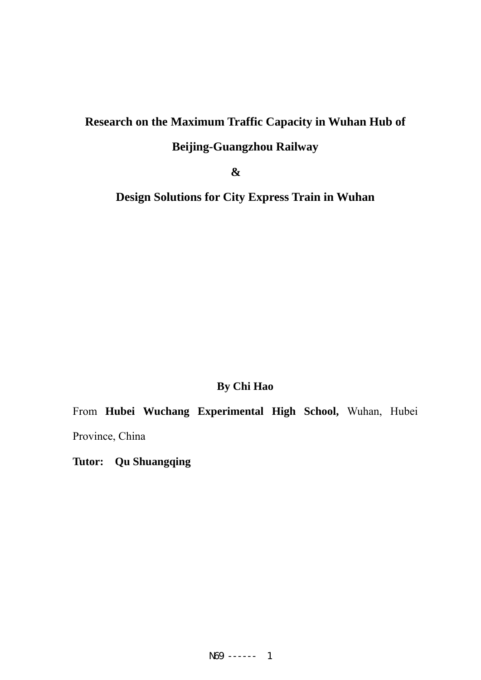# **Research on the Maximum Traffic Capacity in Wuhan Hub of**

# **Beijing-Guangzhou Railway**

**&** 

**Design Solutions for City Express Train in Wuhan** 

# **By Chi Hao**

From **Hubei Wuchang Experimental High School,** Wuhan, Hubei Province, China

**Tutor: Qu Shuangqing**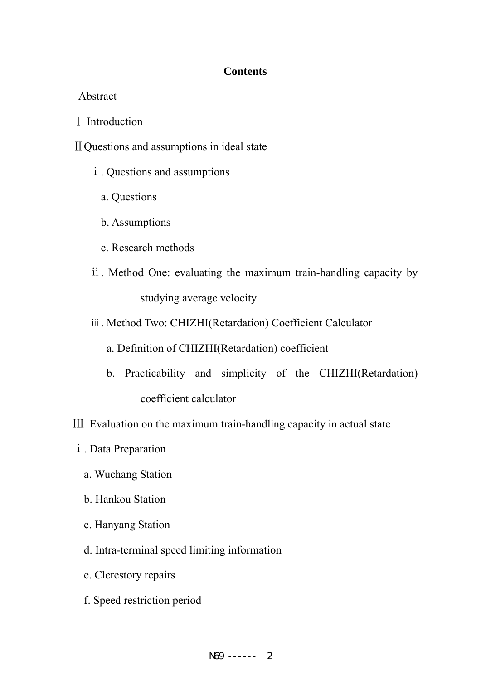# **Contents**

#### Abstract

Ⅰ Introduction

ⅡQuestions and assumptions in ideal state

- ⅰ. Questions and assumptions
	- a. Questions
	- b. Assumptions
	- c. Research methods
- ⅱ. Method One: evaluating the maximum train-handling capacity by studying average velocity
- ⅲ. Method Two: CHIZHI(Retardation) Coefficient Calculator
	- a. Definition of CHIZHI(Retardation) coefficient
	- b. Practicability and simplicity of the CHIZHI(Retardation) coefficient calculator
- Ⅲ Evaluation on the maximum train-handling capacity in actual state
	- ⅰ. Data Preparation
		- a. Wuchang Station
		- b. Hankou Station
		- c. Hanyang Station
		- d. Intra-terminal speed limiting information
		- e. Clerestory repairs
		- f. Speed restriction period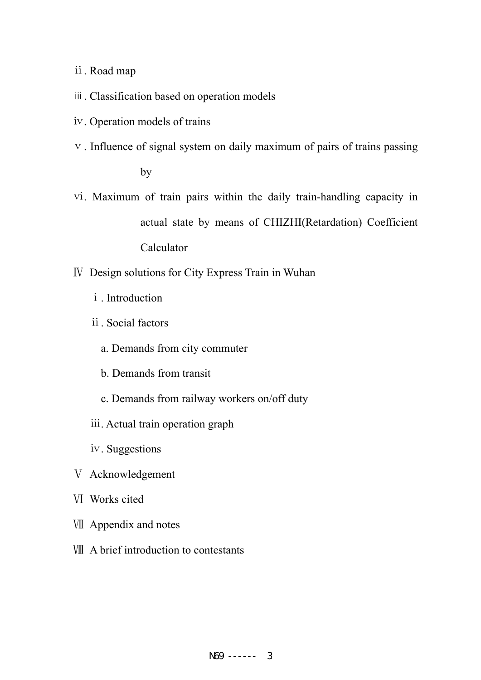ⅱ. Road map

- ⅲ. Classification based on operation models
- ⅳ. Operation models of trains
- ⅴ. Influence of signal system on daily maximum of pairs of trains passing

by

- ⅵ. Maximum of train pairs within the daily train-handling capacity in actual state by means of CHIZHI(Retardation) Coefficient Calculator
- Ⅳ Design solutions for City Express Train in Wuhan
	- ⅰ. Introduction
	- ⅱ. Social factors
		- a. Demands from city commuter
		- b. Demands from transit
		- c. Demands from railway workers on/off duty
	- ⅲ. Actual train operation graph
	- ⅳ. Suggestions
- Ⅴ Acknowledgement
- Ⅵ Works cited
- Ⅶ Appendix and notes
- Ⅷ A brief introduction to contestants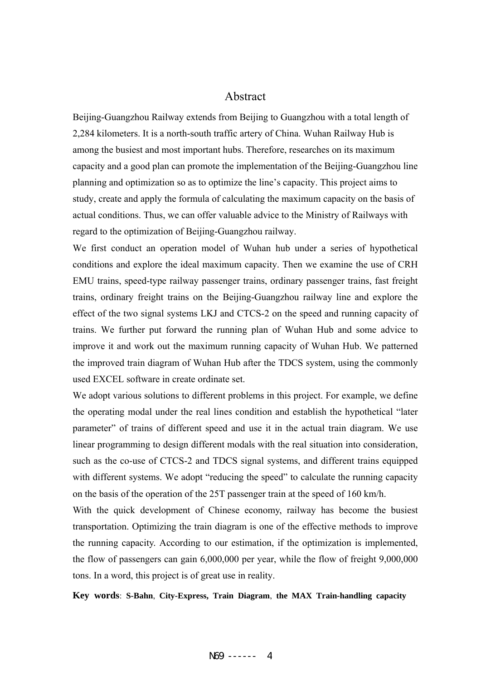#### Abstract

Beijing-Guangzhou Railway extends from Beijing to Guangzhou with a total length of 2,284 kilometers. It is a north-south traffic artery of China. Wuhan Railway Hub is among the busiest and most important hubs. Therefore, researches on its maximum capacity and a good plan can promote the implementation of the Beijing-Guangzhou line planning and optimization so as to optimize the line's capacity. This project aims to study, create and apply the formula of calculating the maximum capacity on the basis of actual conditions. Thus, we can offer valuable advice to the Ministry of Railways with regard to the optimization of Beijing-Guangzhou railway.

We first conduct an operation model of Wuhan hub under a series of hypothetical conditions and explore the ideal maximum capacity. Then we examine the use of CRH EMU trains, speed-type railway passenger trains, ordinary passenger trains, fast freight trains, ordinary freight trains on the Beijing-Guangzhou railway line and explore the effect of the two signal systems LKJ and CTCS-2 on the speed and running capacity of trains. We further put forward the running plan of Wuhan Hub and some advice to improve it and work out the maximum running capacity of Wuhan Hub. We patterned the improved train diagram of Wuhan Hub after the TDCS system, using the commonly used EXCEL software in create ordinate set.

We adopt various solutions to different problems in this project. For example, we define the operating modal under the real lines condition and establish the hypothetical "later parameter" of trains of different speed and use it in the actual train diagram. We use linear programming to design different modals with the real situation into consideration, such as the co-use of CTCS-2 and TDCS signal systems, and different trains equipped with different systems. We adopt "reducing the speed" to calculate the running capacity on the basis of the operation of the 25T passenger train at the speed of 160 km/h.

With the quick development of Chinese economy, railway has become the busiest transportation. Optimizing the train diagram is one of the effective methods to improve the running capacity. According to our estimation, if the optimization is implemented, the flow of passengers can gain 6,000,000 per year, while the flow of freight 9,000,000 tons. In a word, this project is of great use in reality.

**Key words**: **S-Bahn**, **City-Express, Train Diagram**, **the MAX Train-handling capacity**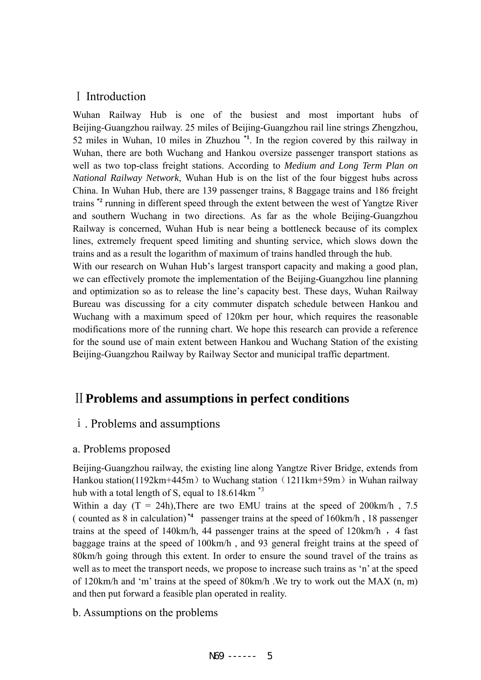# Ⅰ Introduction

Wuhan Railway Hub is one of the busiest and most important hubs of Beijing-Guangzhou railway. 25 miles of Beijing-Guangzhou rail line strings Zhengzhou, 52 miles in Wuhan, 10 miles in Zhuzhou **\*1**. In the region covered by this railway in Wuhan, there are both Wuchang and Hankou oversize passenger transport stations as well as two top-class freight stations. According to *Medium and Long Term Plan on National Railway Network*, Wuhan Hub is on the list of the four biggest hubs across China. In Wuhan Hub, there are 139 passenger trains, 8 Baggage trains and 186 freight trains **\*2** running in different speed through the extent between the west of Yangtze River and southern Wuchang in two directions. As far as the whole Beijing-Guangzhou Railway is concerned, Wuhan Hub is near being a bottleneck because of its complex lines, extremely frequent speed limiting and shunting service, which slows down the trains and as a result the logarithm of maximum of trains handled through the hub.

With our research on Wuhan Hub's largest transport capacity and making a good plan, we can effectively promote the implementation of the Beijing-Guangzhou line planning and optimization so as to release the line's capacity best. These days, Wuhan Railway Bureau was discussing for a city commuter dispatch schedule between Hankou and Wuchang with a maximum speed of 120km per hour, which requires the reasonable modifications more of the running chart. We hope this research can provide a reference for the sound use of main extent between Hankou and Wuchang Station of the existing Beijing-Guangzhou Railway by Railway Sector and municipal traffic department.

# Ⅱ**Problems and assumptions in perfect conditions**

# ⅰ. Problems and assumptions

# a. Problems proposed

Beijing-Guangzhou railway, the existing line along Yangtze River Bridge, extends from Hankou station(1192km+445m) to Wuchang station (1211km+59m) in Wuhan railway hub with a total length of S, equal to 18.614km<sup>\*3</sup>

Within a day  $(T = 24h)$ , There are two EMU trains at the speed of 200km/h, 7.5 ( counted as 8 in calculation) **\*4** passenger trains at the speed of 160km/h , 18 passenger trains at the speed of  $140 \text{km/h}$ , 44 passenger trains at the speed of  $120 \text{km/h}$ , 4 fast baggage trains at the speed of 100km/h , and 93 general freight trains at the speed of 80km/h going through this extent. In order to ensure the sound travel of the trains as well as to meet the transport needs, we propose to increase such trains as 'n' at the speed of 120km/h and 'm' trains at the speed of 80km/h .We try to work out the MAX (n, m) and then put forward a feasible plan operated in reality.

b. Assumptions on the problems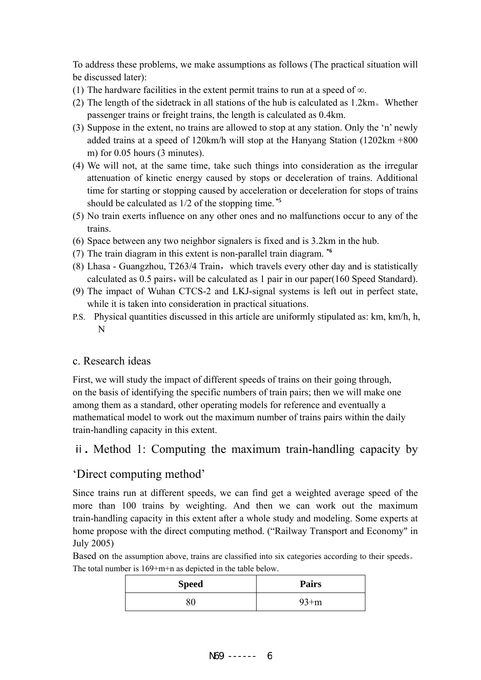To address these problems, we make assumptions as follows (The practical situation will be discussed later):

- (1) The hardware facilities in the extent permit trains to run at a speed of  $\infty$ .
- (2) The length of the sidetrack in all stations of the hub is calculated as 1.2km。Whether passenger trains or freight trains, the length is calculated as 0.4km.
- (3) Suppose in the extent, no trains are allowed to stop at any station. Only the 'n' newly added trains at a speed of 120km/h will stop at the Hanyang Station (1202km +800 m) for 0.05 hours (3 minutes).
- (4) We will not, at the same time, take such things into consideration as the irregular attenuation of kinetic energy caused by stops or deceleration of trains. Additional time for starting or stopping caused by acceleration or deceleration for stops of trains should be calculated as 1/2 of the stopping time. **\*5**
- (5) No train exerts influence on any other ones and no malfunctions occur to any of the trains.
- (6) Space between any two neighbor signalers is fixed and is 3.2km in the hub.
- (7) The train diagram in this extent is non-parallel train diagram. **\*6**
- $(8)$  Lhasa Guangzhou, T263/4 Train, which travels every other day and is statistically calculated as 0.5 pairs, will be calculated as 1 pair in our paper(160 Speed Standard).
- (9) The impact of Wuhan CTCS-2 and LKJ-signal systems is left out in perfect state, while it is taken into consideration in practical situations.
- P.S. Physical quantities discussed in this article are uniformly stipulated as: km, km/h, h, N

#### c. Research ideas

First, we will study the impact of different speeds of trains on their going through, on the basis of identifying the specific numbers of train pairs; then we will make one among them as a standard, other operating models for reference and eventually a mathematical model to work out the maximum number of trains pairs within the daily train-handling capacity in this extent.

# ⅱ**.** Method 1: Computing the maximum train-handling capacity by

#### 'Direct computing method'

Since trains run at different speeds, we can find get a weighted average speed of the more than 100 trains by weighting. And then we can work out the maximum train-handling capacity in this extent after a whole study and modeling. Some experts at home propose with the direct computing method. ("Railway Transport and Economy" in July 2005)

Based on the assumption above, trains are classified into six categories according to their speeds。 The total number is 169+m+n as depicted in the table below.

| <b>Speed</b> | <b>Pairs</b> |
|--------------|--------------|
| 81           | $93+m$       |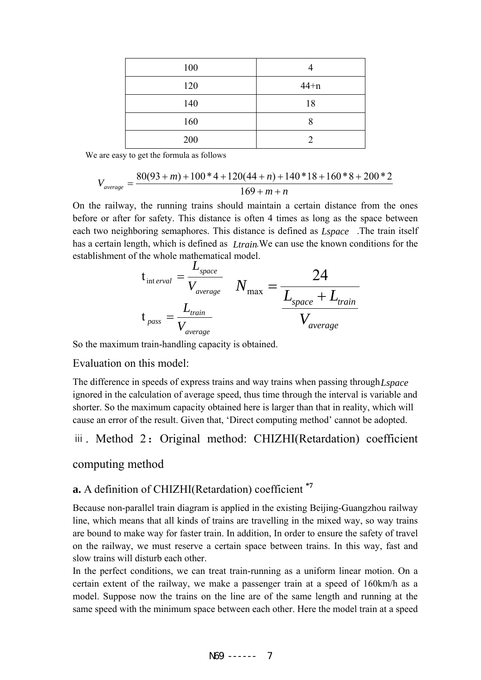| 100 |        |
|-----|--------|
| 120 | $44+n$ |
| 140 | 18     |
| 160 |        |
| 200 |        |

We are easy to get the formula as follows

$$
V_{average} = \frac{80(93+m) + 100*4 + 120(44+n) + 140*18 + 160*8 + 200*2}{169+m+n}
$$

On the railway, the running trains should maintain a certain distance from the ones before or after for safety. This distance is often 4 times as long as the space between each two neighboring semaphores. This distance is defined as *Lspace* The train itself has a certain length, which is defined as *Ltrain*. We can use the known conditions for the establishment of the whole mathematical model.

$$
t_{\text{int }erval} = \frac{L_{space}}{V_{average}} \qquad N_{\text{max}} = \frac{24}{\frac{L_{space} + L_{train}}{V_{average}}}
$$
\n
$$
t_{\text{pass}} = \frac{L_{train}}{V_{average}} \qquad V_{average}
$$

So the maximum train-handling capacity is obtained.

Evaluation on this model:

The difference in speeds of express trains and way trains when passing through *Lspace* ignored in the calculation of average speed, thus time through the interval is variable and shorter. So the maximum capacity obtained here is larger than that in reality, which will cause an error of the result. Given that, 'Direct computing method' cannot be adopted.

# iii. Method 2: Original method: CHIZHI(Retardation) coefficient

#### computing method

# **a.** A definition of CHIZHI(Retardation) coefficient **\*7**

Because non-parallel train diagram is applied in the existing Beijing-Guangzhou railway line, which means that all kinds of trains are travelling in the mixed way, so way trains are bound to make way for faster train. In addition, In order to ensure the safety of travel on the railway, we must reserve a certain space between trains. In this way, fast and slow trains will disturb each other.

In the perfect conditions, we can treat train-running as a uniform linear motion. On a certain extent of the railway, we make a passenger train at a speed of 160km/h as a model. Suppose now the trains on the line are of the same length and running at the same speed with the minimum space between each other. Here the model train at a speed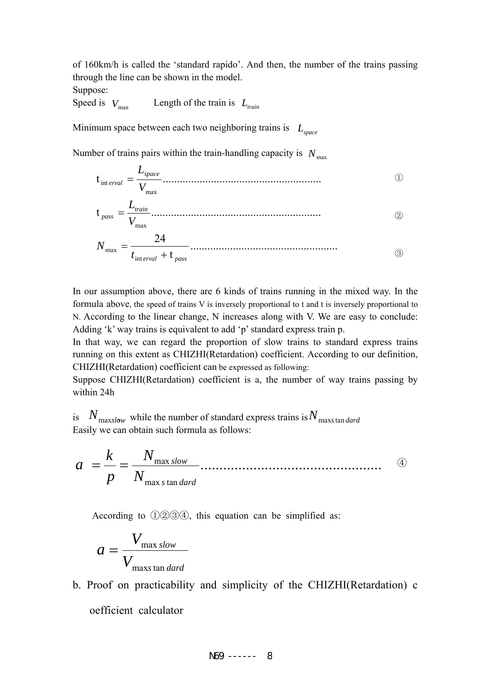of 160km/h is called the 'standard rapido'. And then, the number of the trains passing through the line can be shown in the model.

Suppose:

Speed is  $V_{\text{max}}$  Length of the train is  $L_{\text{train}}$ 

Minimum space between each two neighboring trains is  $L_{space}$ 

Number of trains pairs within the train-handling capacity is  $N_{\text{max}}$ 

$$
t_{\text{int }erval} = \frac{L_{space}}{V_{\text{max}}}
$$
\n
$$
t_{\text{pass}} = \frac{L_{train}}{V_{\text{max}}}
$$
\n
$$
N_{\text{max}} = \frac{24}{t_{\text{int }erval} + t_{\text{pass}}}
$$
\n
$$
(2)
$$

In our assumption above, there are 6 kinds of trains running in the mixed way. In the formula above, the speed of trains V is inversely proportional to t and t is inversely proportional to N. According to the linear change, N increases along with V. We are easy to conclude: Adding 'k' way trains is equivalent to add 'p' standard express train p.

In that way, we can regard the proportion of slow trains to standard express trains running on this extent as CHIZHI(Retardation) coefficient. According to our definition, CHIZHI(Retardation) coefficient can be expressed as following:

Suppose CHIZHI(Retardation) coefficient is a, the number of way trains passing by within 24h

is  $N_{\text{maxslow}}$  while the number of standard express trains is  $N_{\text{max} standard}}$ Easily we can obtain such formula as follows:

④ ................................................ max s tan max s tan *dard slow N N p k*  $a = \frac{b}{c}$ 

According to ①②③④, this equation can be simplified as:

$$
a = \frac{V_{\text{max slow}}}{V_{\text{max} \sin \text{dard}}}
$$

b. Proof on practicability and simplicity of the CHIZHI(Retardation) c oefficient calculator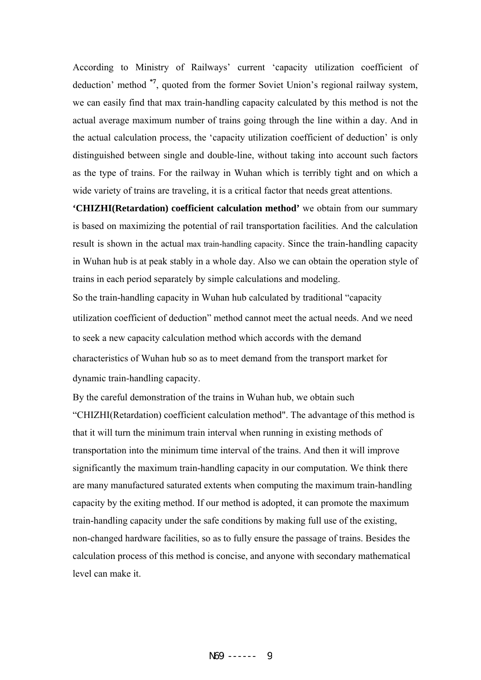According to Ministry of Railways' current 'capacity utilization coefficient of deduction' method **\*7**, quoted from the former Soviet Union's regional railway system, we can easily find that max train-handling capacity calculated by this method is not the actual average maximum number of trains going through the line within a day. And in the actual calculation process, the 'capacity utilization coefficient of deduction' is only distinguished between single and double-line, without taking into account such factors as the type of trains. For the railway in Wuhan which is terribly tight and on which a wide variety of trains are traveling, it is a critical factor that needs great attentions.

**'CHIZHI(Retardation) coefficient calculation method'** we obtain from our summary is based on maximizing the potential of rail transportation facilities. And the calculation result is shown in the actual max train-handling capacity. Since the train-handling capacity in Wuhan hub is at peak stably in a whole day. Also we can obtain the operation style of trains in each period separately by simple calculations and modeling.

So the train-handling capacity in Wuhan hub calculated by traditional "capacity utilization coefficient of deduction" method cannot meet the actual needs. And we need to seek a new capacity calculation method which accords with the demand characteristics of Wuhan hub so as to meet demand from the transport market for dynamic train-handling capacity.

By the careful demonstration of the trains in Wuhan hub, we obtain such "CHIZHI(Retardation) coefficient calculation method". The advantage of this method is that it will turn the minimum train interval when running in existing methods of transportation into the minimum time interval of the trains. And then it will improve significantly the maximum train-handling capacity in our computation. We think there are many manufactured saturated extents when computing the maximum train-handling capacity by the exiting method. If our method is adopted, it can promote the maximum train-handling capacity under the safe conditions by making full use of the existing, non-changed hardware facilities, so as to fully ensure the passage of trains. Besides the calculation process of this method is concise, and anyone with secondary mathematical level can make it.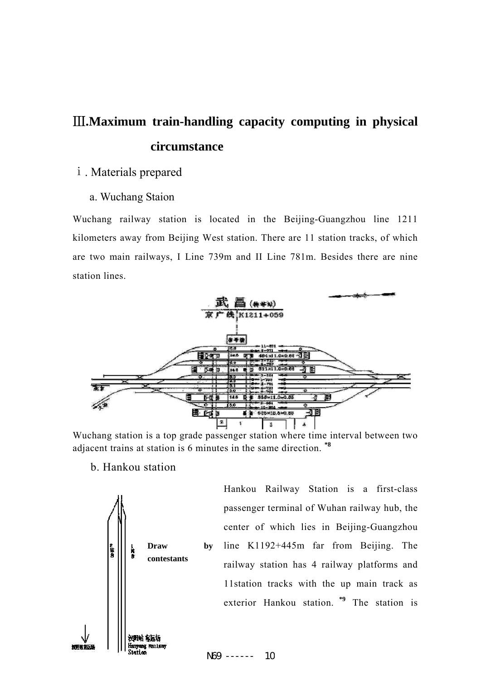# Ⅲ**.Maximum train-handling capacity computing in physical circumstance**

#### ⅰ. Materials prepared

#### a. Wuchang Staion

Wuchang railway station is located in the Beijing-Guangzhou line 1211 kilometers away from Beijing West station. There are 11 station tracks, of which are two main railways, I Line 739m and II Line 781m. Besides there are nine station lines.



Wuchang station is a top grade passenger station where time interval between two adjacent trains at station is 6 minutes in the same direction. **\*8**

#### b. Hankou station



Hankou Railway Station is a first-class passenger terminal of Wuhan railway hub, the center of which lies in Beijing-Guangzhou line K1192+445m far from Beijing. The railway station has 4 railway platforms and 11station tracks with the up main track as exterior Hankou station. **\*9** The station is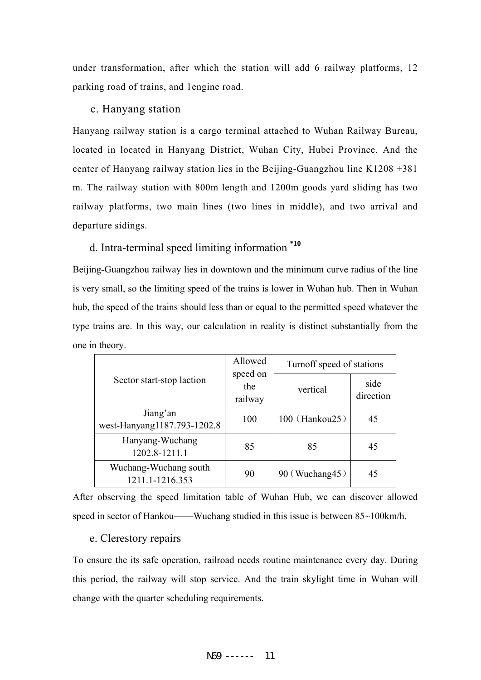under transformation, after which the station will add 6 railway platforms, 12 parking road of trains, and 1engine road.

#### c. Hanyang station

Hanyang railway station is a cargo terminal attached to Wuhan Railway Bureau, located in located in Hanyang District, Wuhan City, Hubei Province. And the center of Hanyang railway station lies in the Beijing-Guangzhou line K1208 +381 m. The railway station with 800m length and 1200m goods yard sliding has two railway platforms, two main lines (two lines in middle), and two arrival and departure sidings.

# d. Intra-terminal speed limiting information **\*10**

Beijing-Guangzhou railway lies in downtown and the minimum curve radius of the line is very small, so the limiting speed of the trains is lower in Wuhan hub. Then in Wuhan hub, the speed of the trains should less than or equal to the permitted speed whatever the type trains are. In this way, our calculation in reality is distinct substantially from the one in theory.

|                                          | Allowed                    | Turnoff speed of stations |                   |
|------------------------------------------|----------------------------|---------------------------|-------------------|
| Sector start-stop laction                | speed on<br>the<br>railway | vertical                  | side<br>direction |
| Jiang'an<br>west-Hanyang1187.793-1202.8  | 100                        | 100 (Hankou25)            | 45                |
| Hanyang-Wuchang<br>1202.8-1211.1         | 85                         | 85                        | 45                |
| Wuchang-Wuchang south<br>1211.1-1216.353 | 90                         | 90 (Wuchang45)            | 45                |

After observing the speed limitation table of Wuhan Hub, we can discover allowed speed in sector of Hankou——Wuchang studied in this issue is between  $85~100$ km/h.

#### e. Clerestory repairs

To ensure the its safe operation, railroad needs routine maintenance every day. During this period, the railway will stop service. And the train skylight time in Wuhan will change with the quarter scheduling requirements.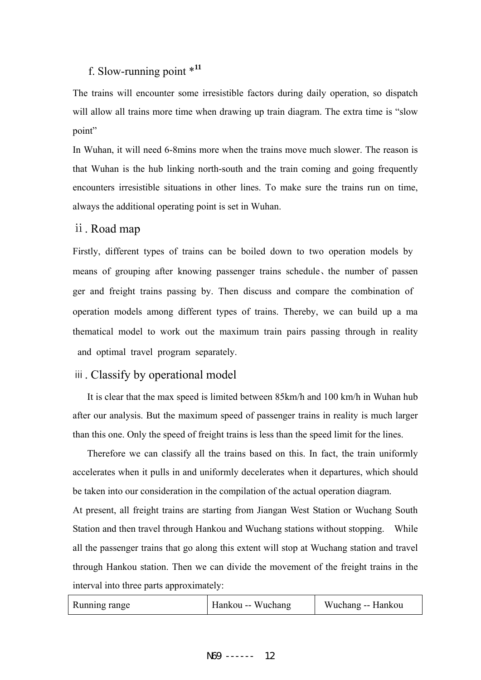# f. Slow-running point \***<sup>11</sup>**

The trains will encounter some irresistible factors during daily operation, so dispatch will allow all trains more time when drawing up train diagram. The extra time is "slow point"

In Wuhan, it will need 6-8mins more when the trains move much slower. The reason is that Wuhan is the hub linking north-south and the train coming and going frequently encounters irresistible situations in other lines. To make sure the trains run on time, always the additional operating point is set in Wuhan.

#### ⅱ. Road map

Firstly, different types of trains can be boiled down to two operation models by means of grouping after knowing passenger trains schedule、the number of passen ger and freight trains passing by. Then discuss and compare the combination of operation models among different types of trains. Thereby, we can build up a ma thematical model to work out the maximum train pairs passing through in reality and optimal travel program separately.

### ⅲ. Classify by operational model

It is clear that the max speed is limited between 85km/h and 100 km/h in Wuhan hub after our analysis. But the maximum speed of passenger trains in reality is much larger than this one. Only the speed of freight trains is less than the speed limit for the lines.

Therefore we can classify all the trains based on this. In fact, the train uniformly accelerates when it pulls in and uniformly decelerates when it departures, which should be taken into our consideration in the compilation of the actual operation diagram.

At present, all freight trains are starting from Jiangan West Station or Wuchang South Station and then travel through Hankou and Wuchang stations without stopping. While all the passenger trains that go along this extent will stop at Wuchang station and travel through Hankou station. Then we can divide the movement of the freight trains in the interval into three parts approximately:

| Running range | Hankou -- Wuchang | Wuchang -- Hankou |
|---------------|-------------------|-------------------|
|               |                   |                   |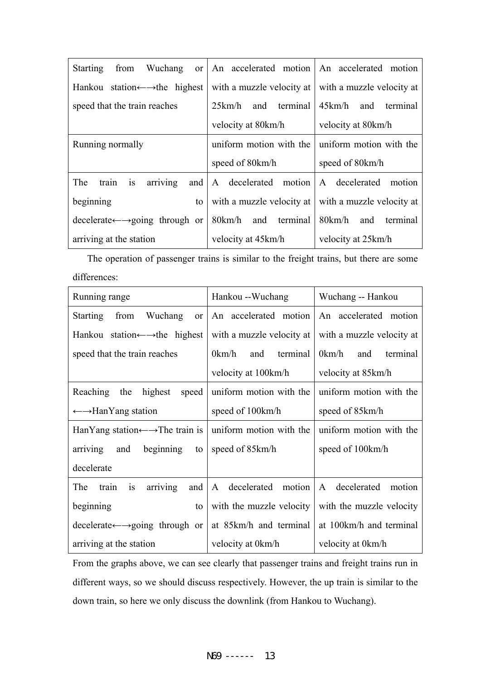| Wuchang<br><b>Starting</b><br>from                                  | or   An accelerated motion   An accelerated motion |                           |
|---------------------------------------------------------------------|----------------------------------------------------|---------------------------|
| Hankou station $\leftarrow \rightarrow$ the highest                 | with a muzzle velocity at                          | with a muzzle velocity at |
| speed that the train reaches                                        | 25km/h and terminal                                | 45km/h and terminal       |
|                                                                     | velocity at 80 km/h                                | velocity at 80km/h        |
| Running normally                                                    | uniform motion with the                            | uniform motion with the   |
|                                                                     | speed of 80km/h                                    | speed of 80km/h           |
| is<br>arriving<br>The<br>and<br>train                               | A decelerated motion                               | A decelerated motion      |
| beginning<br>to                                                     | with a muzzle velocity at                          | with a muzzle velocity at |
|                                                                     |                                                    |                           |
| $\text{decelerate} \leftarrow \rightarrow \text{going through or }$ | 80km/h and terminal                                | 80km/h<br>and terminal    |

The operation of passenger trains is similar to the freight trains, but there are some differences:

| Running range                                                      | Hankou --Wuchang          | Wuchang -- Hankou         |
|--------------------------------------------------------------------|---------------------------|---------------------------|
| <b>Starting</b><br>from<br>Wuchang<br><sub>or</sub>                | An accelerated motion     | An accelerated motion     |
| Hankou station $\leftarrow \rightarrow$ the highest                | with a muzzle velocity at | with a muzzle velocity at |
| speed that the train reaches                                       | 0km/h<br>and terminal     | 0km/h<br>and<br>terminal  |
|                                                                    | velocity at 100km/h       | velocity at 85km/h        |
| <b>Reaching</b><br>the<br>highest<br>speed                         | uniform motion with the   | uniform motion with the   |
| $\leftarrow \rightarrow$ HanYang station                           | speed of 100km/h          | speed of 85km/h           |
| HanYang station $\leftarrow \rightarrow$ The train is              | uniform motion with the   | uniform motion with the   |
| beginning<br>arriving<br>and<br>to                                 | speed of 85km/h           | speed of 100km/h          |
| decelerate                                                         |                           |                           |
| The<br>train<br>and<br>is<br>arriving                              | A decelerated motion      | A decelerated<br>motion   |
| beginning<br>to                                                    | with the muzzle velocity  | with the muzzle velocity  |
| $\text{decelerate} \leftarrow \rightarrow \text{going through or}$ | at 85km/h and terminal    | at 100km/h and terminal   |
| arriving at the station                                            | velocity at 0km/h         | velocity at 0km/h         |

From the graphs above, we can see clearly that passenger trains and freight trains run in different ways, so we should discuss respectively. However, the up train is similar to the down train, so here we only discuss the downlink (from Hankou to Wuchang).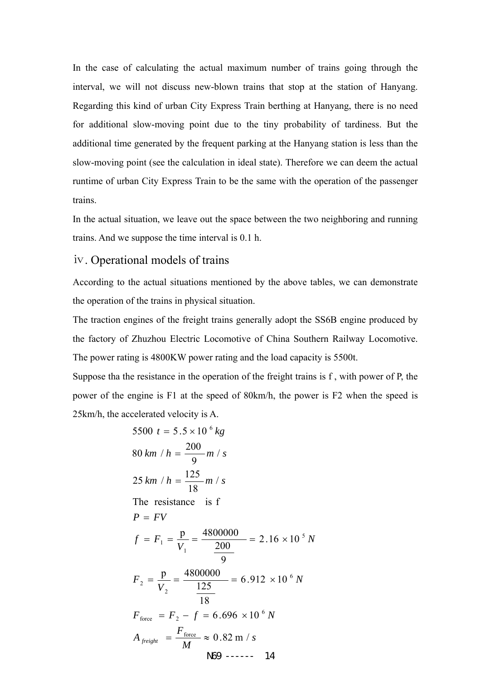In the case of calculating the actual maximum number of trains going through the interval, we will not discuss new-blown trains that stop at the station of Hanyang. Regarding this kind of urban City Express Train berthing at Hanyang, there is no need for additional slow-moving point due to the tiny probability of tardiness. But the additional time generated by the frequent parking at the Hanyang station is less than the slow-moving point (see the calculation in ideal state). Therefore we can deem the actual runtime of urban City Express Train to be the same with the operation of the passenger trains.

In the actual situation, we leave out the space between the two neighboring and running trains. And we suppose the time interval is 0.1 h.

#### ⅳ. Operational models of trains

According to the actual situations mentioned by the above tables, we can demonstrate the operation of the trains in physical situation.

The traction engines of the freight trains generally adopt the SS6B engine produced by the factory of Zhuzhou Electric Locomotive of China Southern Railway Locomotive. The power rating is 4800KW power rating and the load capacity is 5500t.

Suppose tha the resistance in the operation of the freight trains is f , with power of P, the power of the engine is F1 at the speed of 80km/h, the power is F2 when the speed is 25km/h, the accelerated velocity is A.

5500 
$$
t = 5.5 \times 10^{-6} kg
$$
  
\n80 km / h =  $\frac{200}{9}$  m / s  
\n25 km / h =  $\frac{125}{18}$  m / s  
\nThe resistance is f  
\n $P = FV$   
\n $f = F_1 = \frac{p}{V_1} = \frac{4800000}{\frac{200}{9}} = 2.16 \times 10^{-5} N$   
\n $F_2 = \frac{p}{V_2} = \frac{4800000}{\frac{125}{18}} = 6.912 \times 10^{-6} N$   
\n $F_{force} = F_2 - f = 6.696 \times 10^{-6} N$   
\n $A_{freight} = \frac{F_{force}}{M} \approx 0.82 \text{ m/s}$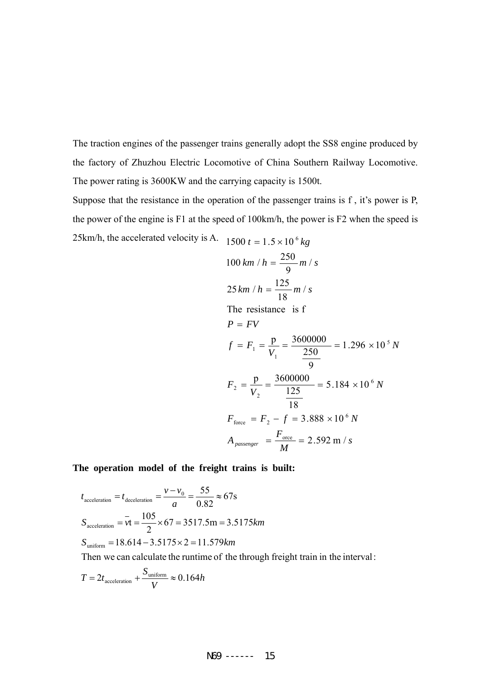The traction engines of the passenger trains generally adopt the SS8 engine produced by the factory of Zhuzhou Electric Locomotive of China Southern Railway Locomotive. The power rating is 3600KW and the carrying capacity is 1500t.

Suppose that the resistance in the operation of the passenger trains is f , it's power is P, the power of the engine is F1 at the speed of 100km/h, the power is F2 when the speed is 25km/h, the accelerated velocity is A.  $1500 t = 1.5 \times 10^6 kg$ 

$$
1500 t = 1.5 \times 10^{-16} \text{ kg}
$$
  
\n
$$
100 \text{ km } / h = \frac{250}{9} \text{ m } / s
$$
  
\n
$$
25 \text{ km } / h = \frac{125}{18} \text{ m } / s
$$
  
\nThe resistance is f  
\n
$$
P = FV
$$
  
\n
$$
f = F_1 = \frac{p}{V_1} = \frac{3600000}{\frac{250}{9}} = 1.296 \times 10^5 \text{ N}
$$
  
\n
$$
F_2 = \frac{p}{V_2} = \frac{3600000}{\frac{125}{18}} = 5.184 \times 10^6 \text{ N}
$$
  
\n
$$
F_{\text{force}} = F_2 - f = 3.888 \times 10^6 \text{ N}
$$
  
\n
$$
A_{\text{passenger}} = \frac{F_{\text{orce}}}{M} = 2.592 \text{ m } / s
$$

**The operation model of the freight trains is built:** 

$$
t_{\text{acceleration}} = t_{\text{deceleration}} = \frac{v - v_0}{a} = \frac{55}{0.82} \approx 67 \text{s}
$$

$$
S_{\text{acceleration}} = \overline{vt} = \frac{105}{2} \times 67 = 3517.5 \text{m} = 3.5175 \text{km}
$$

$$
S_{\text{uniform}} = 18.614 - 3.5175 \times 2 = 11.579 \text{km}
$$

Then we can calculate the runtime of the through freight train in the interval:

$$
T = 2t_{\text{acceleration}} + \frac{S_{\text{uniform}}}{V} \approx 0.164h
$$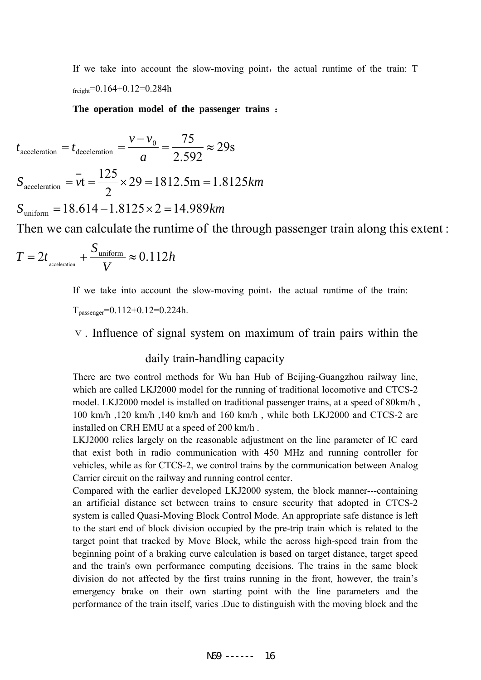If we take into account the slow-moving point, the actual runtime of the train:  $T$  $f_{\text{freight}} = 0.164 + 0.12 = 0.284h$ 

**The operation model of the passenger trains** :

 $rac{1}{a}$   $rac{1}{a}$  $S_{\text{acceleration}} = vt = \frac{125}{2} \times 29 = 1812.5 \text{m} = 1.8125 \text{km}$  $\nu-\nu$  $t_{\text{acceleration}} = t_{\text{deceleration}} = \frac{V - V_0}{2.588} \approx 29 \text{s}$ 2 125  $\alpha_{\text{acceleration}} = vt = \frac{125}{2} \times 29 = 1812.5 \text{m} =$ 2.592  $0 - 75$  $\frac{v - v_0}{\text{acceleration}} = t_{\text{deceleration}} = \frac{v - v_0}{\text{exp}(\frac{v - v_0}{c})} = \frac{75}{2502} \approx$ 

 $S_{\text{uniform}} = 18.614 - 1.8125 \times 2 = 14.989$  km

Then we can calculate the runtime of the through passenger train along this extent :

$$
T = 2t_{\text{\tiny acceleration}} + \frac{S_{\text{\tiny uniform}}}{V} \approx 0.112h
$$

If we take into account the slow-moving point, the actual runtime of the train:

 $T_{\text{passenger}} = 0.112 + 0.12 = 0.224h$ .

#### ⅴ. Influence of signal system on maximum of train pairs within the

#### daily train-handling capacity

There are two control methods for Wu han Hub of Beijing-Guangzhou railway line, which are called LKJ2000 model for the running of traditional locomotive and CTCS-2 model. LKJ2000 model is installed on traditional passenger trains, at a speed of 80km/h , 100 km/h ,120 km/h ,140 km/h and 160 km/h , while both LKJ2000 and CTCS-2 are installed on CRH EMU at a speed of 200 km/h .

LKJ2000 relies largely on the reasonable adjustment on the line parameter of IC card that exist both in radio communication with 450 MHz and running controller for vehicles, while as for CTCS-2, we control trains by the communication between Analog Carrier circuit on the railway and running control center.

Compared with the earlier developed LKJ2000 system, the block manner---containing an artificial distance set between trains to ensure security that adopted in CTCS-2 system is called Quasi-Moving Block Control Mode. An appropriate safe distance is left to the start end of block division occupied by the pre-trip train which is related to the target point that tracked by Move Block, while the across high-speed train from the beginning point of a braking curve calculation is based on target distance, target speed and the train's own performance computing decisions. The trains in the same block division do not affected by the first trains running in the front, however, the train's emergency brake on their own starting point with the line parameters and the performance of the train itself, varies .Due to distinguish with the moving block and the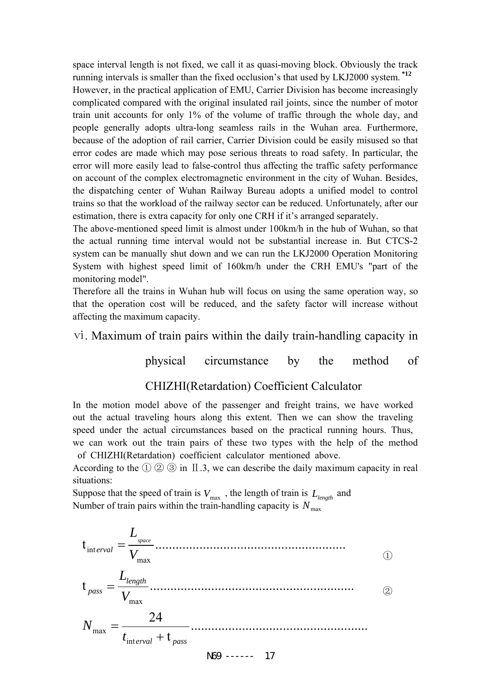space interval length is not fixed, we call it as quasi-moving block. Obviously the track running intervals is smaller than the fixed occlusion's that used by LKJ2000 system. **\*12** However, in the practical application of EMU, Carrier Division has become increasingly complicated compared with the original insulated rail joints, since the number of motor train unit accounts for only 1% of the volume of traffic through the whole day, and people generally adopts ultra-long seamless rails in the Wuhan area. Furthermore, because of the adoption of rail carrier, Carrier Division could be easily misused so that error codes are made which may pose serious threats to road safety. In particular, the error will more easily lead to false-control thus affecting the traffic safety performance on account of the complex electromagnetic environment in the city of Wuhan. Besides, the dispatching center of Wuhan Railway Bureau adopts a unified model to control trains so that the workload of the railway sector can be reduced. Unfortunately, after our estimation, there is extra capacity for only one CRH if it's arranged separately.

The above-mentioned speed limit is almost under 100km/h in the hub of Wuhan, so that the actual running time interval would not be substantial increase in. But CTCS-2 system can be manually shut down and we can run the LKJ2000 Operation Monitoring System with highest speed limit of 160km/h under the CRH EMU's "part of the monitoring model".

Therefore all the trains in Wuhan hub will focus on using the same operation way, so that the operation cost will be reduced, and the safety factor will increase without affecting the maximum capacity.

# ⅵ. Maximum of train pairs within the daily train-handling capacity in

physical circumstance by the method of

### CHIZHI(Retardation) Coefficient Calculator

In the motion model above of the passenger and freight trains, we have worked out the actual traveling hours along this extent. Then we can show the traveling speed under the actual circumstances based on the practical running hours. Thus, we can work out the train pairs of these two types with the help of the method of CHIZHI(Retardation) coefficient calculator mentioned above.

According to the  $\textcircled{1} \textcircled{2} \textcircled{3}$  in II .3, we can describe the daily maximum capacity in real situations:

Suppose that the speed of train is  $V_{\text{max}}$ , the length of train is  $L_{length}$  and Number of train pairs within the train-handling capacity is  $N_{\text{max}}$ 

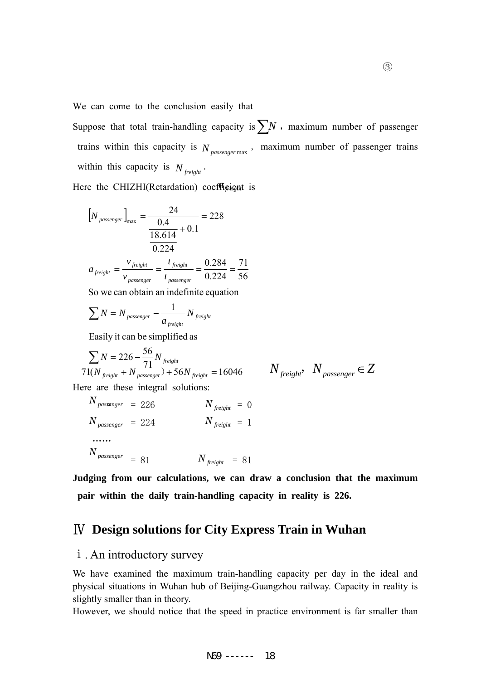We can come to the conclusion easily that

Suppose that total train-handling capacity is  $\sum N$ , maximum number of passenger trains within this capacity is  $N_{\text{passenger max}}$ , maximum number of passenger trains within this capacity is  $N_{\text{freight}}$ .

Here the CHIZHI(Retardation) coefficient is

$$
[N_{\text{passenger}}]_{\text{max}} = \frac{24}{\frac{0.4}{18.614} + 0.1} = 228
$$

$$
a_{\text{freight}} = \frac{v_{\text{freight}}}{v_{\text{passenger}}} = \frac{t_{\text{freight}}}{t_{\text{passenger}}} = \frac{0.284}{0.224} = \frac{71}{56}
$$

So we can obtain an indefinite equation

$$
\sum N = N_{\text{ passenger}} - \frac{1}{a_{\text{ freight}}} N_{\text{ freight}}
$$

Easily it can be simplified as

$$
\sum_{i} N = 226 - \frac{56}{71} N_{\text{freight}}
$$
  
71(N<sub>freight</sub> + N<sub>passenger</sub>) + 56N<sub>freight</sub> = 16046  
Here are these integral solutions:

$$
N_{\text{freight}}
$$
,  $N_{\text{passenger}} \in Z$ 

$$
N_{passenger} = 226
$$
  
\n
$$
N_{passenger} = 224
$$
  
\n
$$
N_{freight} = 0
$$
  
\n
$$
N_{freight} = 1
$$
  
\n...

 $N_{\textit{passenger}} = 81$   $N_{\textit{freight}} = 81$ 

**Judging from our calculations, we can draw a conclusion that the maximum pair within the daily train-handling capacity in reality is 226.** 

# Ⅳ **Design solutions for City Express Train in Wuhan**

### ⅰ. An introductory survey

We have examined the maximum train-handling capacity per day in the ideal and physical situations in Wuhan hub of Beijing-Guangzhou railway. Capacity in reality is slightly smaller than in theory.

However, we should notice that the speed in practice environment is far smaller than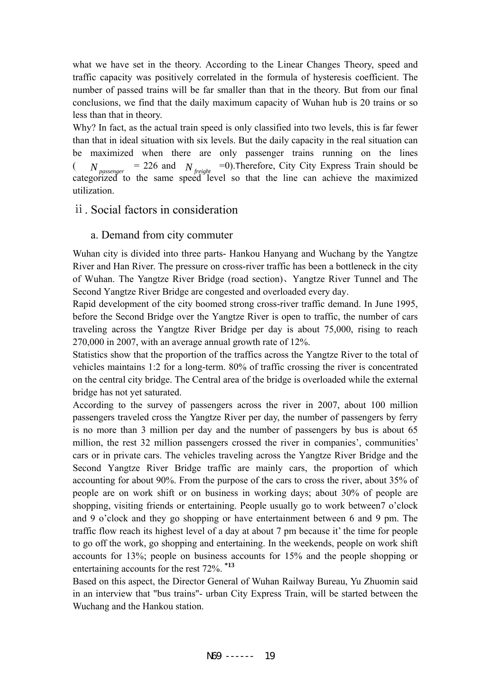what we have set in the theory. According to the Linear Changes Theory, speed and traffic capacity was positively correlated in the formula of hysteresis coefficient. The number of passed trains will be far smaller than that in the theory. But from our final conclusions, we find that the daily maximum capacity of Wuhan hub is 20 trains or so less than that in theory.

Why? In fact, as the actual train speed is only classified into two levels, this is far fewer than that in ideal situation with six levels. But the daily capacity in the real situation can be maximized when there are only passenger trains running on the lines  $\left(\begin{array}{cc} N \end{array}\right)$  = 226 and  $\left(N_{c}\right)$  = 0). Therefore, City City Express Train should be categorized to the same speed level so that the line can achieve the maximized utilization.  $N_{\rm \, passenger}$   $= 226$  and  $\rm \, N_{\rm \, freight}$ 

#### ⅱ. Social factors in consideration

#### a. Demand from city commuter

Wuhan city is divided into three parts- Hankou Hanyang and Wuchang by the Yangtze River and Han River. The pressure on cross-river traffic has been a bottleneck in the city of Wuhan. The Yangtze River Bridge (road section)、Yangtze River Tunnel and The Second Yangtze River Bridge are congested and overloaded every day.

Rapid development of the city boomed strong cross-river traffic demand. In June 1995, before the Second Bridge over the Yangtze River is open to traffic, the number of cars traveling across the Yangtze River Bridge per day is about 75,000, rising to reach 270,000 in 2007, with an average annual growth rate of 12%.

Statistics show that the proportion of the traffics across the Yangtze River to the total of vehicles maintains 1:2 for a long-term. 80% of traffic crossing the river is concentrated on the central city bridge. The Central area of the bridge is overloaded while the external bridge has not yet saturated.

According to the survey of passengers across the river in 2007, about 100 million passengers traveled cross the Yangtze River per day, the number of passengers by ferry is no more than 3 million per day and the number of passengers by bus is about 65 million, the rest 32 million passengers crossed the river in companies', communities' cars or in private cars. The vehicles traveling across the Yangtze River Bridge and the Second Yangtze River Bridge traffic are mainly cars, the proportion of which accounting for about 90%. From the purpose of the cars to cross the river, about 35% of people are on work shift or on business in working days; about 30% of people are shopping, visiting friends or entertaining. People usually go to work between7 o'clock and 9 o'clock and they go shopping or have entertainment between 6 and 9 pm. The traffic flow reach its highest level of a day at about 7 pm because it' the time for people to go off the work, go shopping and entertaining. In the weekends, people on work shift accounts for 13%; people on business accounts for 15% and the people shopping or entertaining accounts for the rest 72%. **\*13**

Based on this aspect, the Director General of Wuhan Railway Bureau, Yu Zhuomin said in an interview that "bus trains"- urban City Express Train, will be started between the Wuchang and the Hankou station.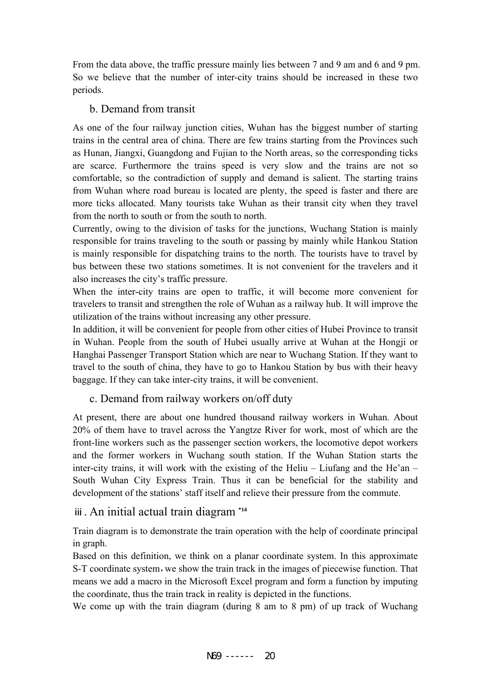From the data above, the traffic pressure mainly lies between 7 and 9 am and 6 and 9 pm. So we believe that the number of inter-city trains should be increased in these two periods.

### b. Demand from transit

As one of the four railway junction cities, Wuhan has the biggest number of starting trains in the central area of china. There are few trains starting from the Provinces such as Hunan, Jiangxi, Guangdong and Fujian to the North areas, so the corresponding ticks are scarce. Furthermore the trains speed is very slow and the trains are not so comfortable, so the contradiction of supply and demand is salient. The starting trains from Wuhan where road bureau is located are plenty, the speed is faster and there are more ticks allocated. Many tourists take Wuhan as their transit city when they travel from the north to south or from the south to north.

Currently, owing to the division of tasks for the junctions, Wuchang Station is mainly responsible for trains traveling to the south or passing by mainly while Hankou Station is mainly responsible for dispatching trains to the north. The tourists have to travel by bus between these two stations sometimes. It is not convenient for the travelers and it also increases the city's traffic pressure.

When the inter-city trains are open to traffic, it will become more convenient for travelers to transit and strengthen the role of Wuhan as a railway hub. It will improve the utilization of the trains without increasing any other pressure.

In addition, it will be convenient for people from other cities of Hubei Province to transit in Wuhan. People from the south of Hubei usually arrive at Wuhan at the Hongji or Hanghai Passenger Transport Station which are near to Wuchang Station. If they want to travel to the south of china, they have to go to Hankou Station by bus with their heavy baggage. If they can take inter-city trains, it will be convenient.

# c. Demand from railway workers on/off duty

At present, there are about one hundred thousand railway workers in Wuhan. About 20% of them have to travel across the Yangtze River for work, most of which are the front-line workers such as the passenger section workers, the locomotive depot workers and the former workers in Wuchang south station. If the Wuhan Station starts the inter-city trains, it will work with the existing of the Heliu – Liufang and the He'an – South Wuhan City Express Train. Thus it can be beneficial for the stability and development of the stations' staff itself and relieve their pressure from the commute.

# ⅲ. An initial actual train diagram **\*14**

Train diagram is to demonstrate the train operation with the help of coordinate principal in graph.

Based on this definition, we think on a planar coordinate system. In this approximate S-T coordinate system, we show the train track in the images of piecewise function. That means we add a macro in the Microsoft Excel program and form a function by imputing the coordinate, thus the train track in reality is depicted in the functions.

We come up with the train diagram (during 8 am to 8 pm) of up track of Wuchang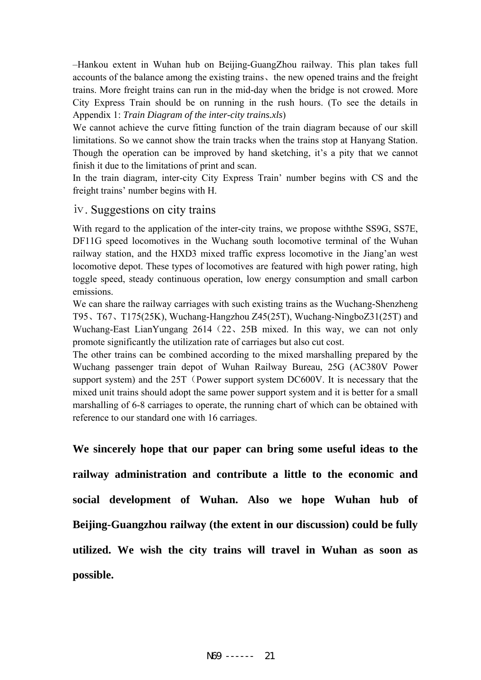–Hankou extent in Wuhan hub on Beijing-GuangZhou railway. This plan takes full accounts of the balance among the existing trains、the new opened trains and the freight trains. More freight trains can run in the mid-day when the bridge is not crowed. More City Express Train should be on running in the rush hours. (To see the details in Appendix 1: *Train Diagram of the inter-city trains.xls*)

We cannot achieve the curve fitting function of the train diagram because of our skill limitations. So we cannot show the train tracks when the trains stop at Hanyang Station. Though the operation can be improved by hand sketching, it's a pity that we cannot finish it due to the limitations of print and scan.

In the train diagram, inter-city City Express Train' number begins with CS and the freight trains' number begins with H.

#### ⅳ. Suggestions on city trains

With regard to the application of the inter-city trains, we propose withthe SS9G, SS7E, DF11G speed locomotives in the Wuchang south locomotive terminal of the Wuhan railway station, and the HXD3 mixed traffic express locomotive in the Jiang'an west locomotive depot. These types of locomotives are featured with high power rating, high toggle speed, steady continuous operation, low energy consumption and small carbon emissions.

We can share the railway carriages with such existing trains as the Wuchang-Shenzheng T95、T67、T175(25K), Wuchang-Hangzhou Z45(25T), Wuchang-NingboZ31(25T) and Wuchang-East LianYungang 2614 (22, 25B mixed. In this way, we can not only promote significantly the utilization rate of carriages but also cut cost.

The other trains can be combined according to the mixed marshalling prepared by the Wuchang passenger train depot of Wuhan Railway Bureau, 25G (AC380V Power support system) and the 25T (Power support system DC600V. It is necessary that the mixed unit trains should adopt the same power support system and it is better for a small marshalling of 6-8 carriages to operate, the running chart of which can be obtained with reference to our standard one with 16 carriages.

**We sincerely hope that our paper can bring some useful ideas to the railway administration and contribute a little to the economic and social development of Wuhan. Also we hope Wuhan hub of Beijing-Guangzhou railway (the extent in our discussion) could be fully utilized. We wish the city trains will travel in Wuhan as soon as possible.**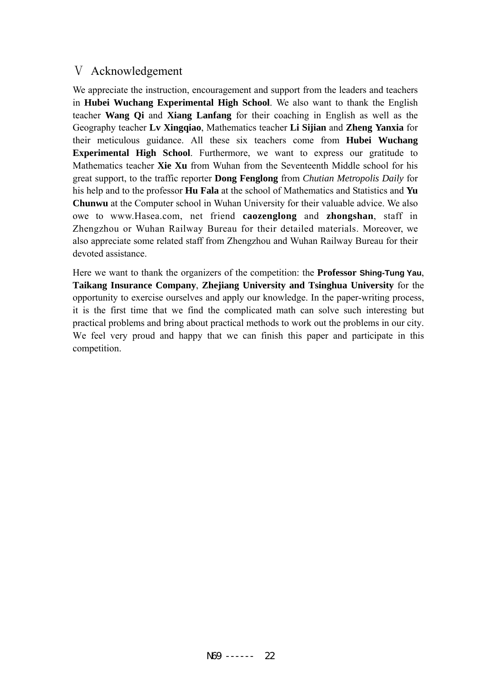# Ⅴ Acknowledgement

We appreciate the instruction, encouragement and support from the leaders and teachers in **Hubei Wuchang Experimental High School**. We also want to thank the English teacher **Wang Qi** and **Xiang Lanfang** for their coaching in English as well as the Geography teacher **Lv Xingqiao**, Mathematics teacher **Li Sijian** and **Zheng Yanxia** for their meticulous guidance. All these six teachers come from **Hubei Wuchang Experimental High School**. Furthermore, we want to express our gratitude to Mathematics teacher **Xie Xu** from Wuhan from the Seventeenth Middle school for his great support, to the traffic reporter **Dong Fenglong** from *Chutian Metropolis Daily* for his help and to the professor **Hu Fala** at the school of Mathematics and Statistics and **Yu Chunwu** at the Computer school in Wuhan University for their valuable advice. We also owe to www.Hasea.com, net friend **caozenglong** and **zhongshan**, staff in Zhengzhou or Wuhan Railway Bureau for their detailed materials. Moreover, we also appreciate some related staff from Zhengzhou and Wuhan Railway Bureau for their devoted assistance.

Here we want to thank the organizers of the competition: the **Professor Shing-Tung Yau**, **Taikang Insurance Company**, **Zhejiang University and Tsinghua University** for the opportunity to exercise ourselves and apply our knowledge. In the paper-writing process, it is the first time that we find the complicated math can solve such interesting but practical problems and bring about practical methods to work out the problems in our city. We feel very proud and happy that we can finish this paper and participate in this competition.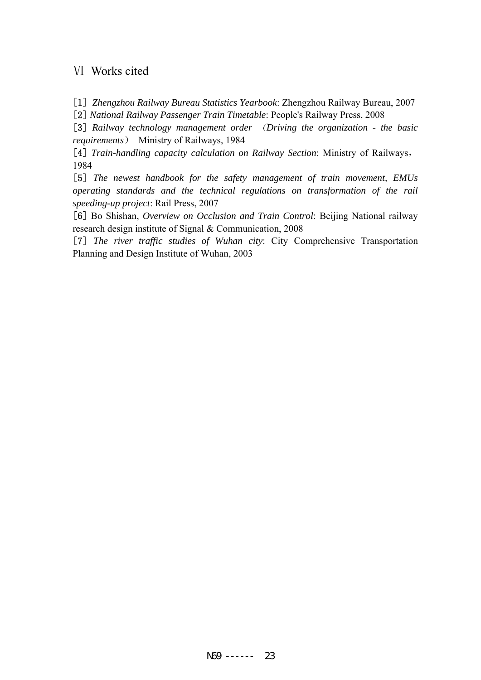### Ⅵ Works cited

[1] *Zhengzhou Railway Bureau Statistics Yearbook*: Zhengzhou Railway Bureau, 2007 [2] *National Railway Passenger Train Timetable*: People's Railway Press, 2008

[3] *Railway technology management order* (*Driving the organization - the basic requirements*) Ministry of Railways, 1984

[4] *Train-handling capacity calculation on Railway Section*: Ministry of Railways, 1984

[5] *The newest handbook for the safety management of train movement, EMUs operating standards and the technical regulations on transformation of the rail speeding-up project*: Rail Press, 2007

[6] Bo Shishan, *Overview on Occlusion and Train Control*: Beijing National railway research design institute of Signal & Communication, 2008

[7] *The river traffic studies of Wuhan city*: City Comprehensive Transportation Planning and Design Institute of Wuhan, 2003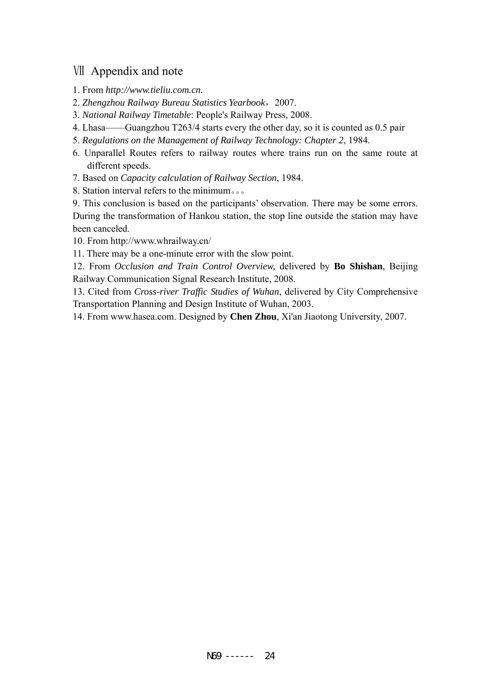# Ⅶ Appendix and note

- 1. From *http://www.tieliu.com.cn.*
- 2. *Zhengzhou Railway Bureau Statistics Yearbook*,2007.
- 3. *National Railway Timetable*: People's Railway Press, 2008.
- 4. Lhasa——Guangzhou T263/4 starts every the other day, so it is counted as 0.5 pair
- 5. *Regulations on the Management of Railway Technology: Chapter 2*, 1984.
- 6. Unparallel Routes refers to railway routes where trains run on the same route at different speeds.
- 7. Based on *Capacity calculation of Railway Section*, 1984.
- 8. Station interval refers to the minimum。。。

9. This conclusion is based on the participants' observation. There may be some errors. During the transformation of Hankou station, the stop line outside the station may have been canceled.

- 10. From http://www.whrailway.cn/
- 11. There may be a one-minute error with the slow point.

12. From *Occlusion and Train Control Overview,* delivered by **Bo Shishan**, Beijing Railway Communication Signal Research Institute, 2008.

13. Cited from *Cross-river Traffic Studies of Wuhan*, delivered by City Comprehensive Transportation Planning and Design Institute of Wuhan, 2003.

14. From www.hasea.com. Designed by **Chen Zhou**, Xi'an Jiaotong University, 2007.